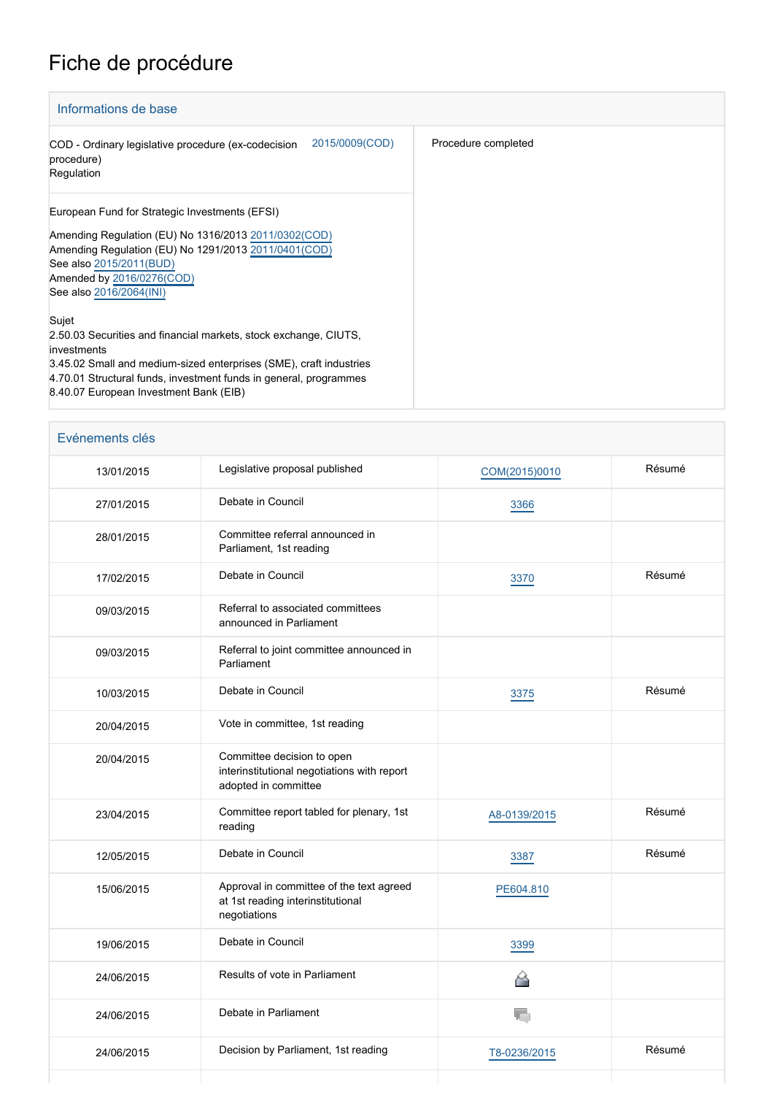## Fiche de procédure

| Informations de base                                                                                                                                                                                                                                                          |                     |  |  |  |
|-------------------------------------------------------------------------------------------------------------------------------------------------------------------------------------------------------------------------------------------------------------------------------|---------------------|--|--|--|
| 2015/0009(COD)<br>COD - Ordinary legislative procedure (ex-codecision<br>procedure)<br>Regulation                                                                                                                                                                             | Procedure completed |  |  |  |
| European Fund for Strategic Investments (EFSI)<br>Amending Regulation (EU) No 1316/2013 2011/0302(COD)<br>Amending Regulation (EU) No 1291/2013 2011/0401 (COD)<br>See also 2015/2011(BUD)<br>Amended by 2016/0276(COD)<br>See also 2016/2064(INI)                            |                     |  |  |  |
| Sujet<br>2.50.03 Securities and financial markets, stock exchange, CIUTS,<br>investments<br>3.45.02 Small and medium-sized enterprises (SME), craft industries<br>4.70.01 Structural funds, investment funds in general, programmes<br>8.40.07 European Investment Bank (EIB) |                     |  |  |  |

| Evénements clés |  |
|-----------------|--|
|-----------------|--|

| 13/01/2015 | Legislative proposal published                                                                    | COM(2015)0010 | Résumé |
|------------|---------------------------------------------------------------------------------------------------|---------------|--------|
| 27/01/2015 | Debate in Council                                                                                 | 3366          |        |
| 28/01/2015 | Committee referral announced in<br>Parliament, 1st reading                                        |               |        |
| 17/02/2015 | Debate in Council                                                                                 | 3370          | Résumé |
| 09/03/2015 | Referral to associated committees<br>announced in Parliament                                      |               |        |
| 09/03/2015 | Referral to joint committee announced in<br>Parliament                                            |               |        |
| 10/03/2015 | Debate in Council                                                                                 | 3375          | Résumé |
| 20/04/2015 | Vote in committee, 1st reading                                                                    |               |        |
| 20/04/2015 | Committee decision to open<br>interinstitutional negotiations with report<br>adopted in committee |               |        |
| 23/04/2015 | Committee report tabled for plenary, 1st<br>reading                                               | A8-0139/2015  | Résumé |
| 12/05/2015 | Debate in Council                                                                                 | 3387          | Résumé |
| 15/06/2015 | Approval in committee of the text agreed<br>at 1st reading interinstitutional<br>negotiations     | PE604.810     |        |
| 19/06/2015 | Debate in Council                                                                                 | 3399          |        |
| 24/06/2015 | Results of vote in Parliament                                                                     | ╩             |        |
| 24/06/2015 | Debate in Parliament                                                                              | T.            |        |
| 24/06/2015 | Decision by Parliament, 1st reading                                                               | T8-0236/2015  | Résumé |